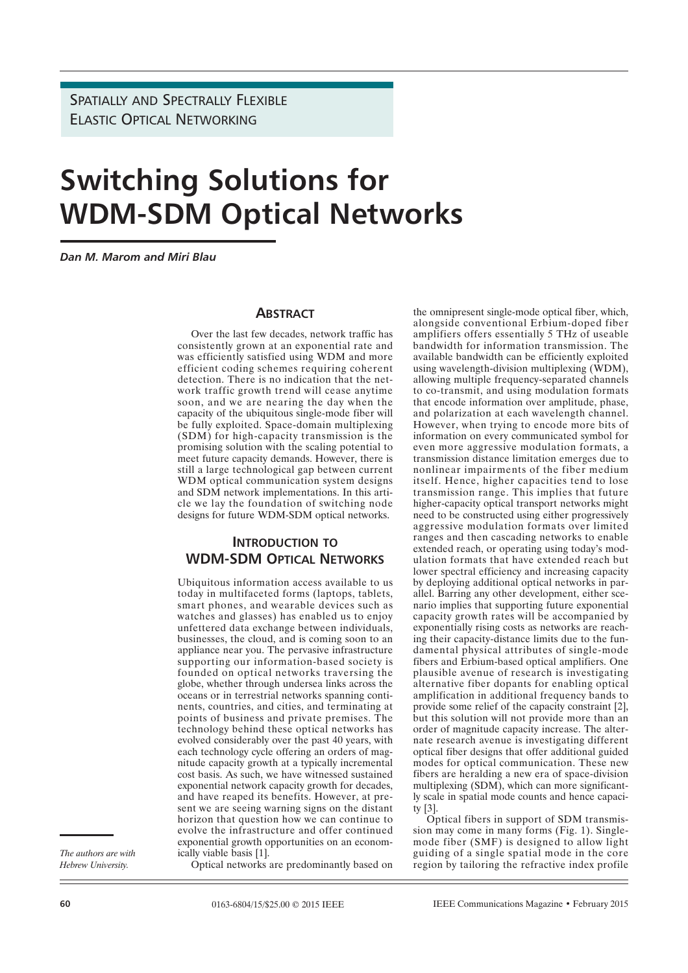SPATIALLY AND SPECTRALLY FLEXIBLE ELASTIC OPTICAL NETWORKING

# **Switching Solutions for WDM-SDM Optical Networks**

### *Dan M. Marom and Miri Blau*

### **ABSTRACT**

Over the last few decades, network traffic has consistently grown at an exponential rate and was efficiently satisfied using WDM and more efficient coding schemes requiring coherent detection. There is no indication that the network traffic growth trend will cease anytime soon, and we are nearing the day when the capacity of the ubiquitous single-mode fiber will be fully exploited. Space-domain multiplexing (SDM) for high-capacity transmission is the promising solution with the scaling potential to meet future capacity demands. However, there is still a large technological gap between current WDM optical communication system designs and SDM network implementations. In this article we lay the foundation of switching node designs for future WDM-SDM optical networks.

## **INTRODUCTION TO WDM-SDM OPTICAL NETWORKS**

Ubiquitous information access available to us today in multifaceted forms (laptops, tablets, smart phones, and wearable devices such as watches and glasses) has enabled us to enjoy unfettered data exchange between individuals, businesses, the cloud, and is coming soon to an appliance near you. The pervasive infrastructure supporting our information-based society is founded on optical networks traversing the globe, whether through undersea links across the oceans or in terrestrial networks spanning continents, countries, and cities, and terminating at points of business and private premises. The technology behind these optical networks has evolved considerably over the past 40 years, with each technology cycle offering an orders of magnitude capacity growth at a typically incremental cost basis. As such, we have witnessed sustained exponential network capacity growth for decades, and have reaped its benefits. However, at present we are seeing warning signs on the distant horizon that question how we can continue to evolve the infrastructure and offer continued exponential growth opportunities on an economically viable basis [1].

*The authors are with Hebrew University.*

Optical networks are predominantly based on

alongside conventional Erbium-doped fiber amplifiers offers essentially 5 THz of useable bandwidth for information transmission. The available bandwidth can be efficiently exploited using wavelength-division multiplexing (WDM), allowing multiple frequency-separated channels to co-transmit, and using modulation formats that encode information over amplitude, phase, and polarization at each wavelength channel. However, when trying to encode more bits of information on every communicated symbol for even more aggressive modulation formats, a transmission distance limitation emerges due to nonlinear impairments of the fiber medium itself. Hence, higher capacities tend to lose transmission range. This implies that future higher-capacity optical transport networks might need to be constructed using either progressively aggressive modulation formats over limited ranges and then cascading networks to enable extended reach, or operating using today's modulation formats that have extended reach but lower spectral efficiency and increasing capacity by deploying additional optical networks in parallel. Barring any other development, either scenario implies that supporting future exponential capacity growth rates will be accompanied by exponentially rising costs as networks are reaching their capacity-distance limits due to the fundamental physical attributes of single-mode fibers and Erbium-based optical amplifiers. One plausible avenue of research is investigating alternative fiber dopants for enabling optical amplification in additional frequency bands to provide some relief of the capacity constraint [2], but this solution will not provide more than an order of magnitude capacity increase. The alternate research avenue is investigating different optical fiber designs that offer additional guided modes for optical communication. These new fibers are heralding a new era of space-division multiplexing (SDM), which can more significantly scale in spatial mode counts and hence capacity [3].

the omnipresent single-mode optical fiber, which,

Optical fibers in support of SDM transmission may come in many forms (Fig. 1). Singlemode fiber (SMF) is designed to allow light guiding of a single spatial mode in the core region by tailoring the refractive index profile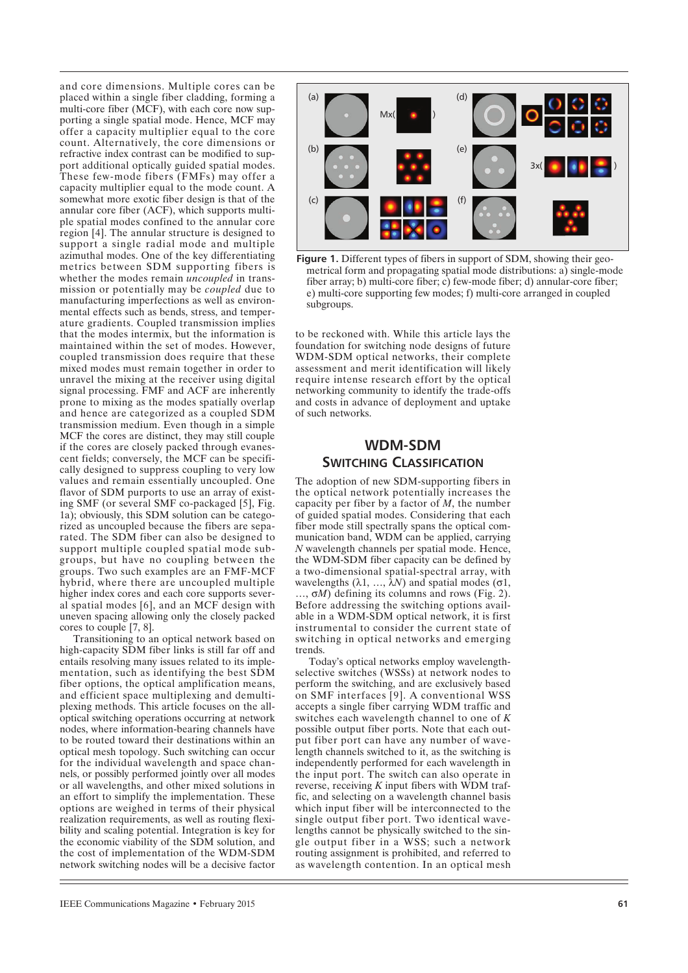and core dimensions. Multiple cores can be placed within a single fiber cladding, forming a multi-core fiber (MCF), with each core now supporting a single spatial mode. Hence, MCF may offer a capacity multiplier equal to the core count. Alternatively, the core dimensions or refractive index contrast can be modified to support additional optically guided spatial modes. These few-mode fibers (FMFs) may offer a capacity multiplier equal to the mode count. A somewhat more exotic fiber design is that of the annular core fiber (ACF), which supports multiple spatial modes confined to the annular core region [4]. The annular structure is designed to support a single radial mode and multiple azimuthal modes. One of the key differentiating metrics between SDM supporting fibers is whether the modes remain *uncoupled* in transmission or potentially may be *coupled* due to manufacturing imperfections as well as environmental effects such as bends, stress, and temperature gradients. Coupled transmission implies that the modes intermix, but the information is maintained within the set of modes. However, coupled transmission does require that these mixed modes must remain together in order to unravel the mixing at the receiver using digital signal processing. FMF and ACF are inherently prone to mixing as the modes spatially overlap and hence are categorized as a coupled SDM transmission medium. Even though in a simple MCF the cores are distinct, they may still couple if the cores are closely packed through evanescent fields; conversely, the MCF can be specifically designed to suppress coupling to very low values and remain essentially uncoupled. One flavor of SDM purports to use an array of existing SMF (or several SMF co-packaged [5], Fig. 1a); obviously, this SDM solution can be categorized as uncoupled because the fibers are separated. The SDM fiber can also be designed to support multiple coupled spatial mode subgroups, but have no coupling between the groups. Two such examples are an FMF-MCF hybrid, where there are uncoupled multiple higher index cores and each core supports several spatial modes [6], and an MCF design with uneven spacing allowing only the closely packed cores to couple [7, 8].

Transitioning to an optical network based on high-capacity SDM fiber links is still far off and entails resolving many issues related to its implementation, such as identifying the best SDM fiber options, the optical amplification means, and efficient space multiplexing and demultiplexing methods. This article focuses on the alloptical switching operations occurring at network nodes, where information-bearing channels have to be routed toward their destinations within an optical mesh topology. Such switching can occur for the individual wavelength and space channels, or possibly performed jointly over all modes or all wavelengths, and other mixed solutions in an effort to simplify the implementation. These options are weighed in terms of their physical realization requirements, as well as routing flexibility and scaling potential. Integration is key for the economic viability of the SDM solution, and the cost of implementation of the WDM-SDM network switching nodes will be a decisive factor



Figure 1. Different types of fibers in support of SDM, showing their geometrical form and propagating spatial mode distributions: a) single-mode fiber array; b) multi-core fiber; c) few-mode fiber; d) annular-core fiber; e) multi-core supporting few modes; f) multi-core arranged in coupled subgroups.

to be reckoned with. While this article lays the foundation for switching node designs of future WDM-SDM optical networks, their complete assessment and merit identification will likely require intense research effort by the optical networking community to identify the trade-offs and costs in advance of deployment and uptake of such networks.

## **WDM-SDM SWITCHING CLASSIFICATION**

The adoption of new SDM-supporting fibers in the optical network potentially increases the capacity per fiber by a factor of *M*, the number of guided spatial modes. Considering that each fiber mode still spectrally spans the optical communication band, WDM can be applied, carrying *N* wavelength channels per spatial mode. Hence, the WDM-SDM fiber capacity can be defined by a two-dimensional spatial-spectral array, with wavelengths  $(\lambda_1, ..., \lambda_N)$  and spatial modes ( $\sigma$ 1,  $\ldots$ ,  $\sigma M$ ) defining its columns and rows (Fig. 2). Before addressing the switching options available in a WDM-SDM optical network, it is first instrumental to consider the current state of switching in optical networks and emerging trends.

Today's optical networks employ wavelengthselective switches (WSSs) at network nodes to perform the switching, and are exclusively based on SMF interfaces [9]. A conventional WSS accepts a single fiber carrying WDM traffic and switches each wavelength channel to one of *K* possible output fiber ports. Note that each output fiber port can have any number of wavelength channels switched to it, as the switching is independently performed for each wavelength in the input port. The switch can also operate in reverse, receiving *K* input fibers with WDM traffic, and selecting on a wavelength channel basis which input fiber will be interconnected to the single output fiber port. Two identical wavelengths cannot be physically switched to the single output fiber in a WSS; such a network routing assignment is prohibited, and referred to as wavelength contention. In an optical mesh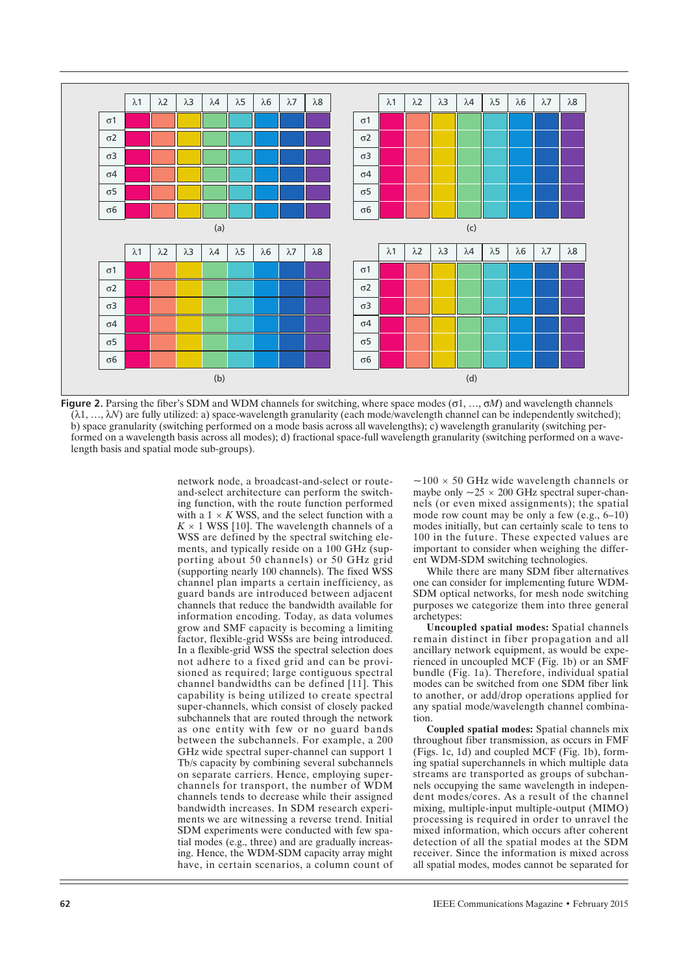

**Figure 2.** Parsing the fiber's SDM and WDM channels for switching, where space modes  $(\sigma1, ..., \sigmaM)$  and wavelength channels  $(\lambda_1, ..., \lambda_N)$  are fully utilized: a) space-wavelength granularity (each mode/wavelength channel can be independently switched); b) space granularity (switching performed on a mode basis across all wavelengths); c) wavelength granularity (switching performed on a wavelength basis across all modes); d) fractional space-full wavelength granularity (switching performed on a wavelength basis and spatial mode sub-groups).

network node, a broadcast-and-select or routeand-select architecture can perform the switching function, with the route function performed with a  $1 \times K$  WSS, and the select function with a  $K \times 1$  WSS [10]. The wavelength channels of a WSS are defined by the spectral switching elements, and typically reside on a 100 GHz (supporting about 50 channels) or 50 GHz grid (supporting nearly 100 channels). The fixed WSS channel plan imparts a certain inefficiency, as guard bands are introduced between adjacent channels that reduce the bandwidth available for information encoding. Today, as data volumes grow and SMF capacity is becoming a limiting factor, flexible-grid WSSs are being introduced. In a flexible-grid WSS the spectral selection does not adhere to a fixed grid and can be provisioned as required; large contiguous spectral channel bandwidths can be defined [11]. This capability is being utilized to create spectral super-channels, which consist of closely packed subchannels that are routed through the network as one entity with few or no guard bands between the subchannels. For example, a 200 GHz wide spectral super-channel can support 1 Tb/s capacity by combining several subchannels on separate carriers. Hence, employing superchannels for transport, the number of WDM channels tends to decrease while their assigned bandwidth increases. In SDM research experiments we are witnessing a reverse trend. Initial SDM experiments were conducted with few spatial modes (e.g., three) and are gradually increasing. Hence, the WDM-SDM capacity array might have, in certain scenarios, a column count of  $\sim$ 100  $\times$  50 GHz wide wavelength channels or maybe only  $\sim$  25  $\times$  200 GHz spectral super-channels (or even mixed assignments); the spatial mode row count may be only a few (e.g., 6–10) modes initially, but can certainly scale to tens to 100 in the future. These expected values are important to consider when weighing the different WDM-SDM switching technologies.

While there are many SDM fiber alternatives one can consider for implementing future WDM-SDM optical networks, for mesh node switching purposes we categorize them into three general archetypes:

**Uncoupled spatial modes:** Spatial channels remain distinct in fiber propagation and all ancillary network equipment, as would be experienced in uncoupled MCF (Fig. 1b) or an SMF bundle (Fig. 1a). Therefore, individual spatial modes can be switched from one SDM fiber link to another, or add/drop operations applied for any spatial mode/wavelength channel combination.

**Coupled spatial modes:** Spatial channels mix throughout fiber transmission, as occurs in FMF (Figs. 1c, 1d) and coupled MCF (Fig. 1b), forming spatial superchannels in which multiple data streams are transported as groups of subchannels occupying the same wavelength in independent modes/cores. As a result of the channel mixing, multiple-input multiple-output (MIMO) processing is required in order to unravel the mixed information, which occurs after coherent detection of all the spatial modes at the SDM receiver. Since the information is mixed across all spatial modes, modes cannot be separated for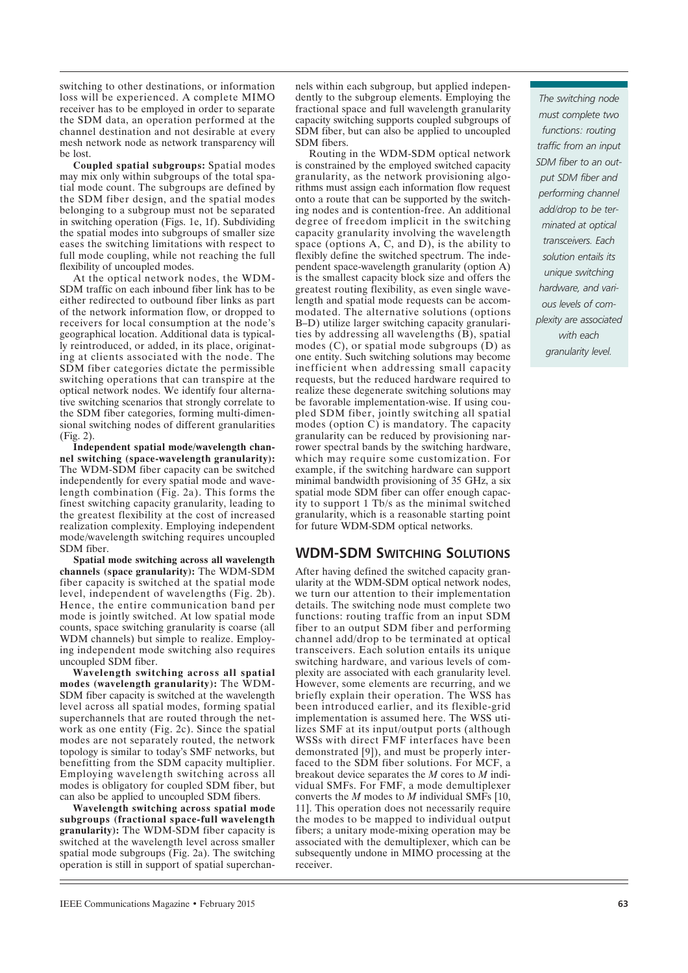switching to other destinations, or information loss will be experienced. A complete MIMO receiver has to be employed in order to separate the SDM data, an operation performed at the channel destination and not desirable at every mesh network node as network transparency will be lost.

**Coupled spatial subgroups:** Spatial modes may mix only within subgroups of the total spatial mode count. The subgroups are defined by the SDM fiber design, and the spatial modes belonging to a subgroup must not be separated in switching operation (Figs. 1e, 1f). Subdividing the spatial modes into subgroups of smaller size eases the switching limitations with respect to full mode coupling, while not reaching the full flexibility of uncoupled modes.

At the optical network nodes, the WDM-SDM traffic on each inbound fiber link has to be either redirected to outbound fiber links as part of the network information flow, or dropped to receivers for local consumption at the node's geographical location. Additional data is typically reintroduced, or added, in its place, originating at clients associated with the node. The SDM fiber categories dictate the permissible switching operations that can transpire at the optical network nodes. We identify four alternative switching scenarios that strongly correlate to the SDM fiber categories, forming multi-dimensional switching nodes of different granularities (Fig. 2).

**Independent spatial mode/wavelength channel switching (space-wavelength granularity):** The WDM-SDM fiber capacity can be switched independently for every spatial mode and wavelength combination (Fig. 2a). This forms the finest switching capacity granularity, leading to the greatest flexibility at the cost of increased realization complexity. Employing independent mode/wavelength switching requires uncoupled SDM fiber.

**Spatial mode switching across all wavelength channels (space granularity):** The WDM-SDM fiber capacity is switched at the spatial mode level, independent of wavelengths (Fig. 2b). Hence, the entire communication band per mode is jointly switched. At low spatial mode counts, space switching granularity is coarse (all WDM channels) but simple to realize. Employing independent mode switching also requires uncoupled SDM fiber.

**Wavelength switching across all spatial modes (wavelength granularity):** The WDM-SDM fiber capacity is switched at the wavelength level across all spatial modes, forming spatial superchannels that are routed through the network as one entity (Fig. 2c). Since the spatial modes are not separately routed, the network topology is similar to today's SMF networks, but benefitting from the SDM capacity multiplier. Employing wavelength switching across all modes is obligatory for coupled SDM fiber, but can also be applied to uncoupled SDM fibers.

**Wavelength switching across spatial mode subgroups (fractional space-full wavelength granularity):** The WDM-SDM fiber capacity is switched at the wavelength level across smaller spatial mode subgroups (Fig. 2a). The switching operation is still in support of spatial superchan-

nels within each subgroup, but applied independently to the subgroup elements. Employing the fractional space and full wavelength granularity capacity switching supports coupled subgroups of SDM fiber, but can also be applied to uncoupled SDM fibers.

Routing in the WDM-SDM optical network is constrained by the employed switched capacity granularity, as the network provisioning algorithms must assign each information flow request onto a route that can be supported by the switching nodes and is contention-free. An additional degree of freedom implicit in the switching capacity granularity involving the wavelength space (options A, C, and D), is the ability to flexibly define the switched spectrum. The independent space-wavelength granularity (option A) is the smallest capacity block size and offers the greatest routing flexibility, as even single wavelength and spatial mode requests can be accommodated. The alternative solutions (options B–D) utilize larger switching capacity granularities by addressing all wavelengths (B), spatial modes  $(C)$ , or spatial mode subgroups  $(D)$  as one entity. Such switching solutions may become inefficient when addressing small capacity requests, but the reduced hardware required to realize these degenerate switching solutions may be favorable implementation-wise. If using coupled SDM fiber, jointly switching all spatial modes (option C) is mandatory. The capacity granularity can be reduced by provisioning narrower spectral bands by the switching hardware, which may require some customization. For example, if the switching hardware can support minimal bandwidth provisioning of 35 GHz, a six spatial mode SDM fiber can offer enough capacity to support 1 Tb/s as the minimal switched granularity, which is a reasonable starting point for future WDM-SDM optical networks.

## **WDM-SDM SWITCHING SOLUTIONS**

After having defined the switched capacity granularity at the WDM-SDM optical network nodes, we turn our attention to their implementation details. The switching node must complete two functions: routing traffic from an input SDM fiber to an output SDM fiber and performing channel add/drop to be terminated at optical transceivers. Each solution entails its unique switching hardware, and various levels of complexity are associated with each granularity level. However, some elements are recurring, and we briefly explain their operation. The WSS has been introduced earlier, and its flexible-grid implementation is assumed here. The WSS utilizes SMF at its input/output ports (although WSSs with direct FMF interfaces have been demonstrated [9]), and must be properly interfaced to the SDM fiber solutions. For MCF, a breakout device separates the *M* cores to *M* individual SMFs. For FMF, a mode demultiplexer converts the *M* modes to *M* individual SMFs [10, 11]. This operation does not necessarily require the modes to be mapped to individual output fibers; a unitary mode-mixing operation may be associated with the demultiplexer, which can be subsequently undone in MIMO processing at the receiver.

*The switching node must complete two functions: routing traffic from an input SDM fiber to an output SDM fiber and performing channel add/drop to be terminated at optical transceivers. Each solution entails its unique switching hardware, and various levels of complexity are associated with each granularity level.*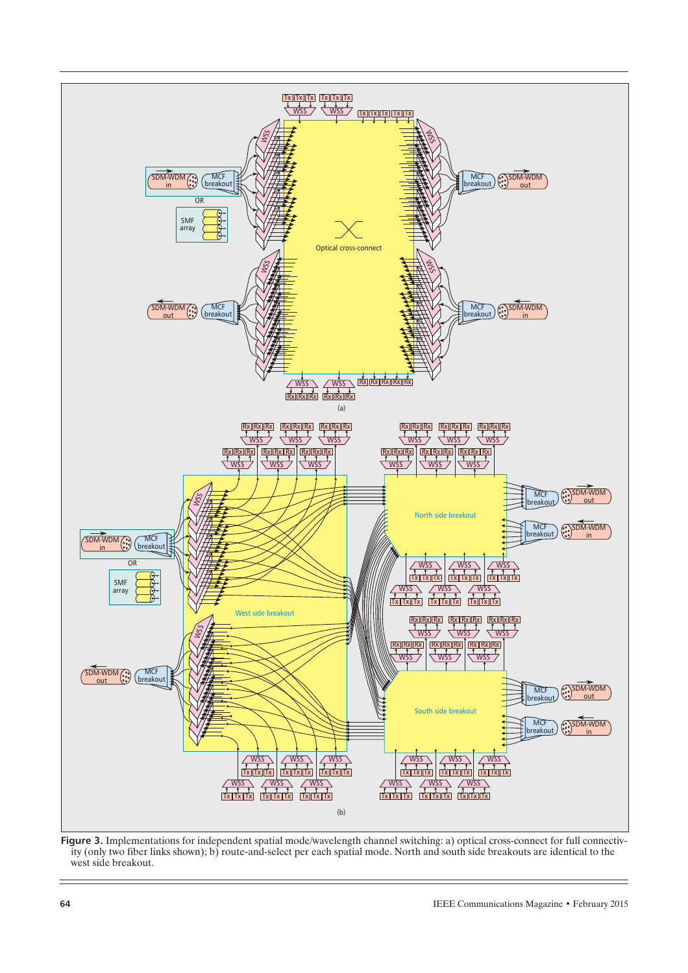

**Figure 3.** Implementations for independent spatial mode/wavelength channel switching: a) optical cross-connect for full connectivity (only two fiber links shown); b) route-and-select per each spatial mode. North and south side breakouts are identical to the west side breakout.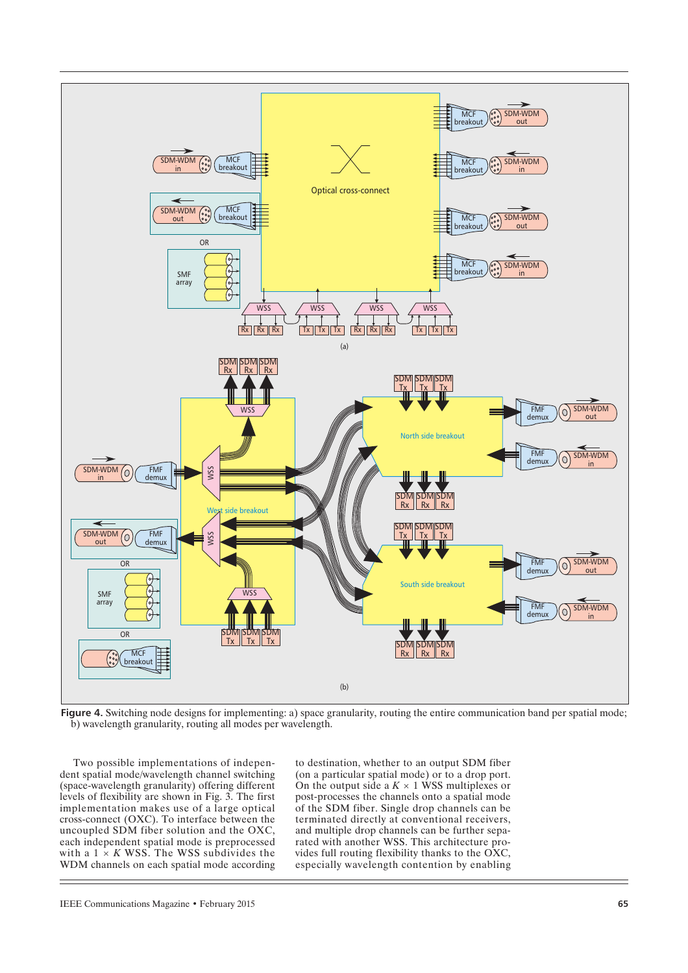

**Figure 4.** Switching node designs for implementing: a) space granularity, routing the entire communication band per spatial mode; b) wavelength granularity, routing all modes per wavelength.

Two possible implementations of independent spatial mode/wavelength channel switching (space-wavelength granularity) offering different levels of flexibility are shown in Fig. 3. The first implementation makes use of a large optical cross-connect (OXC). To interface between the uncoupled SDM fiber solution and the OXC, each independent spatial mode is preprocessed with a  $1 \times K$  WSS. The WSS subdivides the WDM channels on each spatial mode according

to destination, whether to an output SDM fiber (on a particular spatial mode) or to a drop port. On the output side a  $K \times 1$  WSS multiplexes or post-processes the channels onto a spatial mode of the SDM fiber. Single drop channels can be terminated directly at conventional receivers, and multiple drop channels can be further separated with another WSS. This architecture provides full routing flexibility thanks to the OXC, especially wavelength contention by enabling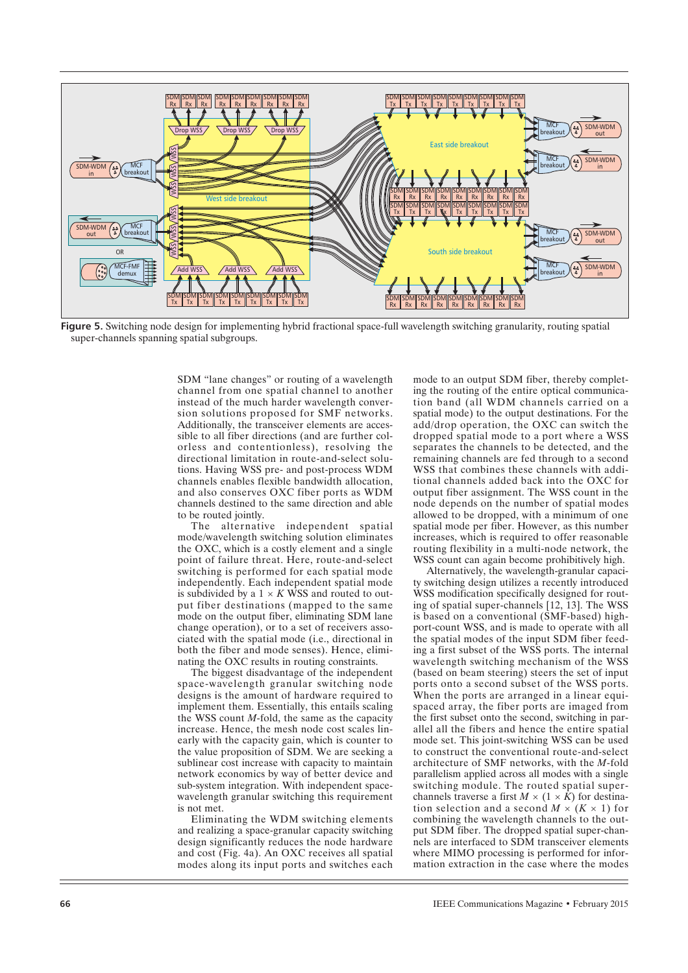

**Figure 5.** Switching node design for implementing hybrid fractional space-full wavelength switching granularity, routing spatial

SDM "lane changes" or routing of a wavelength channel from one spatial channel to another instead of the much harder wavelength conversion solutions proposed for SMF networks. Additionally, the transceiver elements are accessible to all fiber directions (and are further colorless and contentionless), resolving the directional limitation in route-and-select solutions. Having WSS pre- and post-process WDM channels enables flexible bandwidth allocation, and also conserves OXC fiber ports as WDM channels destined to the same direction and able to be routed jointly.

The alternative independent spatial mode/wavelength switching solution eliminates the OXC, which is a costly element and a single point of failure threat. Here, route-and-select switching is performed for each spatial mode independently. Each independent spatial mode is subdivided by a  $1 \times K$  WSS and routed to output fiber destinations (mapped to the same mode on the output fiber, eliminating SDM lane change operation), or to a set of receivers associated with the spatial mode (i.e., directional in both the fiber and mode senses). Hence, eliminating the OXC results in routing constraints.

The biggest disadvantage of the independent space-wavelength granular switching node designs is the amount of hardware required to implement them. Essentially, this entails scaling the WSS count *M*-fold, the same as the capacity increase. Hence, the mesh node cost scales linearly with the capacity gain, which is counter to the value proposition of SDM. We are seeking a sublinear cost increase with capacity to maintain network economics by way of better device and sub-system integration. With independent spacewavelength granular switching this requirement is not met.

Eliminating the WDM switching elements and realizing a space-granular capacity switching design significantly reduces the node hardware and cost (Fig. 4a). An OXC receives all spatial modes along its input ports and switches each mode to an output SDM fiber, thereby completing the routing of the entire optical communication band (all WDM channels carried on a spatial mode) to the output destinations. For the add/drop operation, the OXC can switch the dropped spatial mode to a port where a WSS separates the channels to be detected, and the remaining channels are fed through to a second WSS that combines these channels with additional channels added back into the OXC for output fiber assignment. The WSS count in the node depends on the number of spatial modes allowed to be dropped, with a minimum of one spatial mode per fiber. However, as this number increases, which is required to offer reasonable routing flexibility in a multi-node network, the WSS count can again become prohibitively high.

Alternatively, the wavelength-granular capacity switching design utilizes a recently introduced WSS modification specifically designed for routing of spatial super-channels [12, 13]. The WSS is based on a conventional (SMF-based) highport-count WSS, and is made to operate with all the spatial modes of the input SDM fiber feeding a first subset of the WSS ports. The internal wavelength switching mechanism of the WSS (based on beam steering) steers the set of input ports onto a second subset of the WSS ports. When the ports are arranged in a linear equispaced array, the fiber ports are imaged from the first subset onto the second, switching in parallel all the fibers and hence the entire spatial mode set. This joint-switching WSS can be used to construct the conventional route-and-select architecture of SMF networks, with the *M*-fold parallelism applied across all modes with a single switching module. The routed spatial superchannels traverse a first  $M \times (1 \times K)$  for destination selection and a second  $M \times (K \times 1)$  for combining the wavelength channels to the output SDM fiber. The dropped spatial super-channels are interfaced to SDM transceiver elements where MIMO processing is performed for information extraction in the case where the modes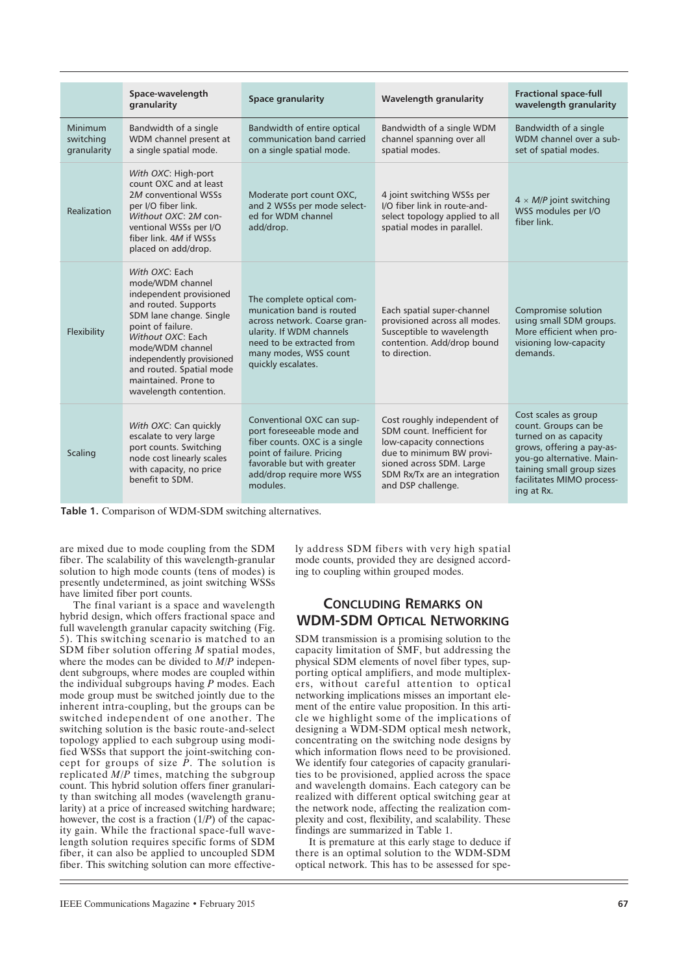|                                     | Space-wavelength<br>granularity                                                                                                                                                                                                                                                           | <b>Space granularity</b>                                                                                                                                                                       | <b>Wavelength granularity</b>                                                                                                                                                                       | <b>Fractional space-full</b><br>wavelength granularity                                                                                                                                                  |
|-------------------------------------|-------------------------------------------------------------------------------------------------------------------------------------------------------------------------------------------------------------------------------------------------------------------------------------------|------------------------------------------------------------------------------------------------------------------------------------------------------------------------------------------------|-----------------------------------------------------------------------------------------------------------------------------------------------------------------------------------------------------|---------------------------------------------------------------------------------------------------------------------------------------------------------------------------------------------------------|
| Minimum<br>switching<br>granularity | Bandwidth of a single<br>WDM channel present at<br>a single spatial mode.                                                                                                                                                                                                                 | Bandwidth of entire optical<br>communication band carried<br>on a single spatial mode.                                                                                                         | Bandwidth of a single WDM<br>channel spanning over all<br>spatial modes.                                                                                                                            | Bandwidth of a single<br>WDM channel over a sub-<br>set of spatial modes.                                                                                                                               |
| Realization                         | With OXC: High-port<br>count OXC and at least<br>2M conventional WSSs<br>per I/O fiber link.<br>Without OXC: 2M con-<br>ventional WSSs per I/O<br>fiber link. 4M if WSSs<br>placed on add/drop.                                                                                           | Moderate port count OXC,<br>and 2 WSSs per mode select-<br>ed for WDM channel<br>add/drop.                                                                                                     | 4 joint switching WSSs per<br>I/O fiber link in route-and-<br>select topology applied to all<br>spatial modes in parallel.                                                                          | $4 \times M/P$ joint switching<br>WSS modules per I/O<br>fiber link.                                                                                                                                    |
| Flexibility                         | With OXC: Each<br>mode/WDM channel<br>independent provisioned<br>and routed. Supports<br>SDM lane change. Single<br>point of failure.<br>Without OXC: Each<br>mode/WDM channel<br>independently provisioned<br>and routed. Spatial mode<br>maintained. Prone to<br>wavelength contention. | The complete optical com-<br>munication band is routed<br>across network. Coarse gran-<br>ularity. If WDM channels<br>need to be extracted from<br>many modes, WSS count<br>quickly escalates. | Each spatial super-channel<br>provisioned across all modes.<br>Susceptible to wavelength<br>contention. Add/drop bound<br>to direction.                                                             | Compromise solution<br>using small SDM groups.<br>More efficient when pro-<br>visioning low-capacity<br>demands.                                                                                        |
| Scaling                             | With OXC: Can quickly<br>escalate to very large<br>port counts. Switching<br>node cost linearly scales<br>with capacity, no price<br>benefit to SDM.                                                                                                                                      | Conventional OXC can sup-<br>port foreseeable mode and<br>fiber counts. OXC is a single<br>point of failure. Pricing<br>favorable but with greater<br>add/drop require more WSS<br>modules.    | Cost roughly independent of<br>SDM count. Inefficient for<br>low-capacity connections<br>due to minimum BW provi-<br>sioned across SDM. Large<br>SDM Rx/Tx are an integration<br>and DSP challenge. | Cost scales as group<br>count. Groups can be<br>turned on as capacity<br>grows, offering a pay-as-<br>you-go alternative. Main-<br>taining small group sizes<br>facilitates MIMO process-<br>ing at Rx. |

**Table 1.** Comparison of WDM-SDM switching alternatives.

are mixed due to mode coupling from the SDM fiber. The scalability of this wavelength-granular solution to high mode counts (tens of modes) is presently undetermined, as joint switching WSSs have limited fiber port counts.

The final variant is a space and wavelength hybrid design, which offers fractional space and full wavelength granular capacity switching (Fig. 5). This switching scenario is matched to an SDM fiber solution offering *M* spatial modes, where the modes can be divided to *M*/*P* independent subgroups, where modes are coupled within the individual subgroups having *P* modes. Each mode group must be switched jointly due to the inherent intra-coupling, but the groups can be switched independent of one another. The switching solution is the basic route-and-select topology applied to each subgroup using modified WSSs that support the joint-switching concept for groups of size  $\dot{P}$ . The solution is replicated *M*/*P* times, matching the subgroup count. This hybrid solution offers finer granularity than switching all modes (wavelength granularity) at a price of increased switching hardware; however, the cost is a fraction (1/*P*) of the capacity gain. While the fractional space-full wavelength solution requires specific forms of SDM fiber, it can also be applied to uncoupled SDM fiber. This switching solution can more effectively address SDM fibers with very high spatial mode counts, provided they are designed according to coupling within grouped modes.

# **CONCLUDING REMARKS ON WDM-SDM OPTICAL NETWORKING**

SDM transmission is a promising solution to the capacity limitation of SMF, but addressing the physical SDM elements of novel fiber types, supporting optical amplifiers, and mode multiplexers, without careful attention to optical networking implications misses an important element of the entire value proposition. In this article we highlight some of the implications of designing a WDM-SDM optical mesh network, concentrating on the switching node designs by which information flows need to be provisioned. We identify four categories of capacity granularities to be provisioned, applied across the space and wavelength domains. Each category can be realized with different optical switching gear at the network node, affecting the realization complexity and cost, flexibility, and scalability. These findings are summarized in Table 1.

It is premature at this early stage to deduce if there is an optimal solution to the WDM-SDM optical network. This has to be assessed for spe